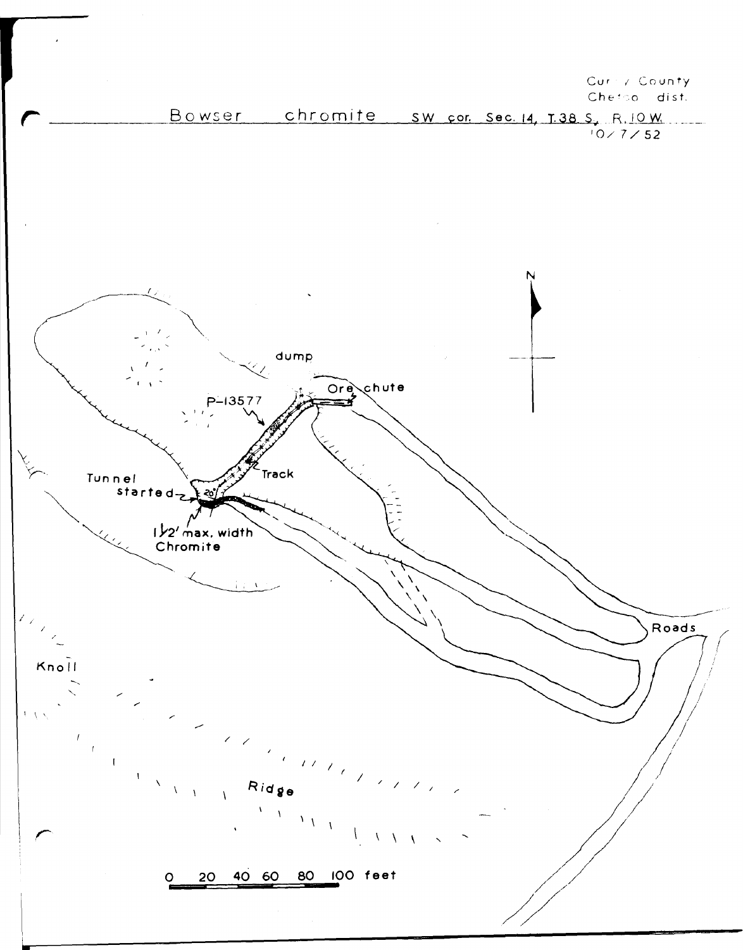Curry County Chetoo dist.

Bowser chromite sw cor sec. 14, T.38 S., R. 10 W.  $10 \times 7 \times 52$